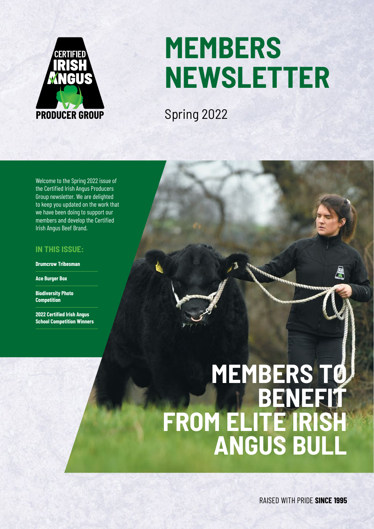

# **MEMBERS NEWSLETTER**

Spring 2022

Welcome to the Spring 2022 issue of the Certified Irish Angus Producers Group newsletter. We are delighted to keep you updated on the work that we have been doing to support our members and develop the Certified Irish Angus Beef Brand.

### **IN THIS ISSUE:**

**Drumcrow Tribesman**

**Ace Burger Box**

**Biodiversity Photo Competition**

**2022 Certified Irish Angus School Competition Winners**

# **MEMBERS TO BENEFIT FROM ELITE IRISH ANGUS BULL**

RAISED WITH PRIDE **SINCE 1995**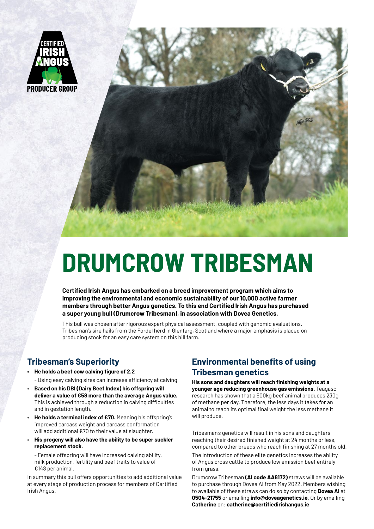



# **DRUMCROW TRIBESMAN**

**Certified Irish Angus has embarked on a breed improvement program which aims to improving the environmental and economic sustainability of our 10,000 active farmer members through better Angus genetics. To this end Certified Irish Angus has purchased a super young bull (Drumcrow Tribesman), in association with Dovea Genetics.**

This bull was chosen after rigorous expert physical assessment, coupled with genomic evaluations. Tribesman's sire hails from the Fordel herd in Glenfarg, Scotland where a major emphasis is placed on producing stock for an easy care system on this hill farm.

## **Tribesman's Superiority**

- **• He holds a beef cow calving figure of 2.2** 
	- Using easy calving sires can increase efficiency at calving
- **Based on his DBI (Dairy Beef Index) his offspring will deliver a value of €58 more than the average Angus value.**  This is achieved through a reduction in calving difficulties and in gestation length.
- **He holds a terminal index of €70.** Meaning his offspring's improved carcass weight and carcass conformation will add additional €70 to their value at slaughter.
- **His progeny will also have the ability to be super suckler replacement stock.**

- Female offspring will have increased calving ability, milk production, fertility and beef traits to value of €148 per animal.

In summary this bull offers opportunities to add additional value at every stage of production process for members of Certified Irish Angus.

# **Environmental benefits of using Tribesman genetics**

**His sons and daughters will reach finishing weights at a younger age reducing greenhouse gas emissions.** Teagasc research has shown that a 500kg beef animal produces 230g of methane per day. Therefore, the less days it takes for an animal to reach its optimal final weight the less methane it will produce.

Tribesman's genetics will result in his sons and daughters reaching their desired finished weight at 24 months or less, compared to other breeds who reach finishing at 27 months old.

The introduction of these elite genetics increases the ability of Angus cross cattle to produce low emission beef entirely from grass.

Drumcrow Tribesman **(AI code AA8172)** straws will be available to purchase through Dovea AI from May 2022. Members wishing to available of these straws can do so by contacting **Dovea AI** at **0504-21755** or emailing **info@doveagenetics.ie**, Or by emailing **Catherine** on: **catherine@certifiedirishangus.ie**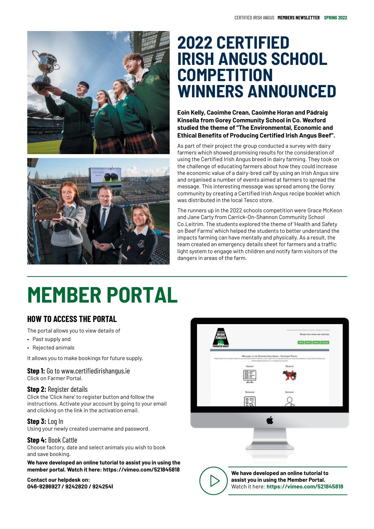



# **2022 CERTIFIED IRISH ANGUS SCHOOL COMPETITION WINNERS ANNOUNCED**

**Eoin Kelly, Caoimhe Crean, Caoimhe Horan and Pádraig Kinsella from Gorey Community School in Co. Wexford studied the theme of "The Environmental, Economic and Ethical Benefits of Producing Certified Irish Angus Beef".**

As part of their project the group conducted a survey with dairy farmers which showed promising results for the consideration of using the Certified Irish Angus breed in dairy farming. They took on the challenge of educating farmers about how they could increase the economic value of a dairy-bred calf by using an Irish Angus sire and organised a number of events aimed at farmers to spread the message. This interesting message was spread among the Gorey community by creating a Certified Irish Angus recipe booklet which was distributed in the local Tesco store.

The runners up in the 2022 schools competition were Grace McKeon and Jane Carty from Carrick-On-Shannon Community School Co.Leitrim. The students explored the theme of 'Health and Safety on Beef Farms' which helped the students to better understand the impacts farming can have mentally and physically. As a result, the team created an emergency details sheet for farmers and a traffic light system to engage with children and notify farm visitors of the dangers in areas of the farm.

# **MEMBER PORTAL**

# **HOW TO ACCESS THE PORTAL**

The portal allows you to view details of

- Past supply and
- Rejected animals

It allows you to make bookings for future supply.

### **Step 1:** Go to www.certifiedirishangus.ie

Click on Farmer Portal.

#### **Step 2: Register details**

Click the 'Click here' to register button and follow the instructions. Activate your account by going to your email and clicking on the link in the activation email.

**Step 3:** Log In

Using your newly created username and password.

#### **Step 4:** Book Cattle

Choose factory, date and select animals you wish to book and save booking.

**We have developed an online tutorial to assist you in using the member portal. Watch it here: https://vimeo.com/521845818**

#### **Contact our helpdesk on: 046-9286927 / 9242820 / 9242541**